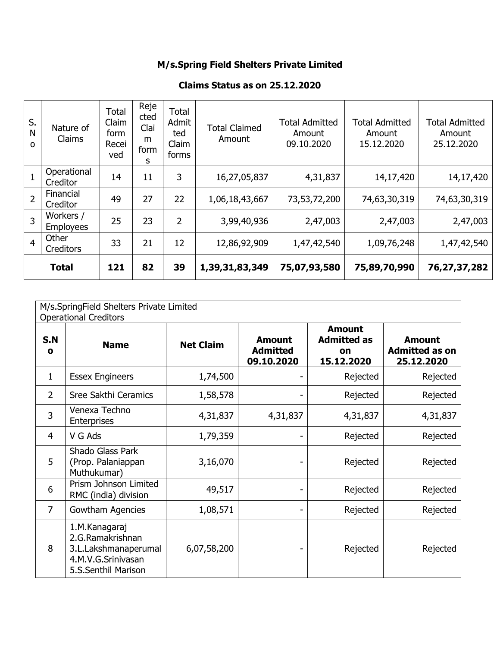## M/s.Spring Field Shelters Private Limited

## Claims Status as on 25.12.2020

| M/s.SpringField Shelters Private Limited<br><b>Operational Creditors</b> |                                                                                                        |                  |                                                |                                                         |                                                      |  |
|--------------------------------------------------------------------------|--------------------------------------------------------------------------------------------------------|------------------|------------------------------------------------|---------------------------------------------------------|------------------------------------------------------|--|
| S.N<br>O                                                                 | <b>Name</b>                                                                                            | <b>Net Claim</b> | <b>Amount</b><br><b>Admitted</b><br>09.10.2020 | <b>Amount</b><br><b>Admitted as</b><br>on<br>15.12.2020 | <b>Amount</b><br><b>Admitted as on</b><br>25.12.2020 |  |
| $\mathbf{1}$                                                             | <b>Essex Engineers</b>                                                                                 | 1,74,500         |                                                | Rejected                                                | Rejected                                             |  |
| $\overline{2}$                                                           | Sree Sakthi Ceramics                                                                                   | 1,58,578         |                                                | Rejected                                                | Rejected                                             |  |
| 3                                                                        | Venexa Techno<br>Enterprises                                                                           | 4,31,837         | 4,31,837                                       | 4,31,837                                                | 4,31,837                                             |  |
| 4                                                                        | V G Ads                                                                                                | 1,79,359         |                                                | Rejected                                                | Rejected                                             |  |
| 5                                                                        | Shado Glass Park<br>(Prop. Palaniappan<br>Muthukumar)                                                  | 3,16,070         |                                                | Rejected                                                | Rejected                                             |  |
| 6                                                                        | Prism Johnson Limited<br>RMC (india) division                                                          | 49,517           |                                                | Rejected                                                | Rejected                                             |  |
| $\overline{7}$                                                           | Gowtham Agencies                                                                                       | 1,08,571         |                                                | Rejected                                                | Rejected                                             |  |
| 8                                                                        | 1.M.Kanagaraj<br>2.G.Ramakrishnan<br>3.L.Lakshmanaperumal<br>4.M.V.G.Srinivasan<br>5.S.Senthil Marison | 6,07,58,200      |                                                | Rejected                                                | Rejected                                             |  |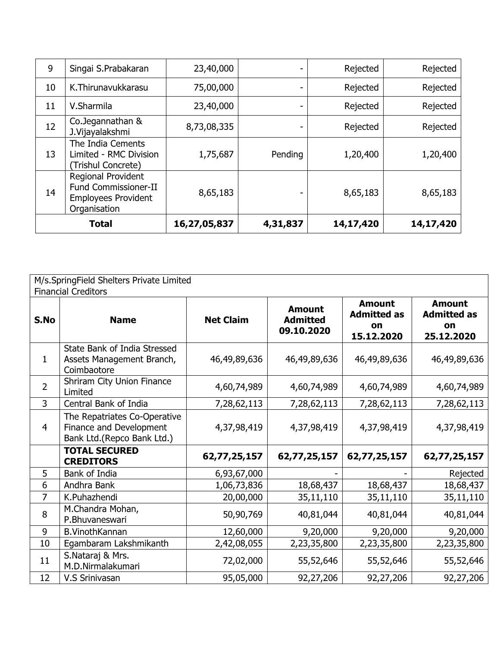| 9            | Singai S.Prabakaran                                                                                    | 23,40,000    |          | Rejected  | Rejected  |
|--------------|--------------------------------------------------------------------------------------------------------|--------------|----------|-----------|-----------|
| 10           | K. Thirunavukkarasu                                                                                    | 75,00,000    | ۰        | Rejected  | Rejected  |
| 11           | V.Sharmila                                                                                             | 23,40,000    | ۰        | Rejected  | Rejected  |
| 12           | Co.Jegannathan &<br>J.Vijayalakshmi                                                                    | 8,73,08,335  |          | Rejected  | Rejected  |
| 13           | The India Cements<br>Limited - RMC Division<br>(Trishul Concrete)                                      | 1,75,687     | Pending  | 1,20,400  | 1,20,400  |
| 14           | <b>Regional Provident</b><br><b>Fund Commissioner-II</b><br><b>Employees Provident</b><br>Organisation | 8,65,183     |          | 8,65,183  | 8,65,183  |
| <b>Total</b> |                                                                                                        | 16,27,05,837 | 4,31,837 | 14,17,420 | 14,17,420 |

|                | M/s.SpringField Shelters Private Limited                                              |                  |                                                |                                                         |                                                         |  |  |  |
|----------------|---------------------------------------------------------------------------------------|------------------|------------------------------------------------|---------------------------------------------------------|---------------------------------------------------------|--|--|--|
|                | <b>Financial Creditors</b>                                                            |                  |                                                |                                                         |                                                         |  |  |  |
| S.No           | <b>Name</b>                                                                           | <b>Net Claim</b> | <b>Amount</b><br><b>Admitted</b><br>09.10.2020 | <b>Amount</b><br><b>Admitted as</b><br>on<br>15.12.2020 | <b>Amount</b><br><b>Admitted as</b><br>on<br>25.12.2020 |  |  |  |
| 1              | State Bank of India Stressed<br>Assets Management Branch,<br>Coimbaotore              | 46,49,89,636     | 46,49,89,636                                   | 46,49,89,636                                            | 46,49,89,636                                            |  |  |  |
| $\overline{2}$ | Shriram City Union Finance<br>Limited                                                 | 4,60,74,989      | 4,60,74,989                                    | 4,60,74,989                                             | 4,60,74,989                                             |  |  |  |
| 3              | Central Bank of India                                                                 | 7,28,62,113      | 7,28,62,113                                    | 7,28,62,113                                             | 7,28,62,113                                             |  |  |  |
| $\overline{4}$ | The Repatriates Co-Operative<br>Finance and Development<br>Bank Ltd.(Repco Bank Ltd.) | 4,37,98,419      | 4,37,98,419                                    | 4,37,98,419                                             | 4,37,98,419                                             |  |  |  |
|                | <b>TOTAL SECURED</b><br><b>CREDITORS</b>                                              | 62,77,25,157     | 62,77,25,157                                   | 62,77,25,157                                            | 62,77,25,157                                            |  |  |  |
| 5              | Bank of India                                                                         | 6,93,67,000      |                                                |                                                         | Rejected                                                |  |  |  |
| 6              | Andhra Bank                                                                           | 1,06,73,836      | 18,68,437                                      | 18,68,437                                               | 18,68,437                                               |  |  |  |
| 7              | K.Puhazhendi                                                                          | 20,00,000        | 35,11,110                                      | 35,11,110                                               | 35,11,110                                               |  |  |  |
| 8              | M.Chandra Mohan,<br>P.Bhuvaneswari                                                    | 50,90,769        | 40,81,044                                      | 40,81,044                                               | 40,81,044                                               |  |  |  |
| 9              | <b>B.VinothKannan</b>                                                                 | 12,60,000        | 9,20,000                                       | 9,20,000                                                | 9,20,000                                                |  |  |  |
| 10             | Egambaram Lakshmikanth                                                                | 2,42,08,055      | 2,23,35,800                                    | 2,23,35,800                                             | 2,23,35,800                                             |  |  |  |
| 11             | S.Nataraj & Mrs.<br>M.D.Nirmalakumari                                                 | 72,02,000        | 55,52,646                                      | 55,52,646                                               | 55,52,646                                               |  |  |  |
| 12             | V.S Srinivasan                                                                        | 95,05,000        | 92,27,206                                      | 92,27,206                                               | 92,27,206                                               |  |  |  |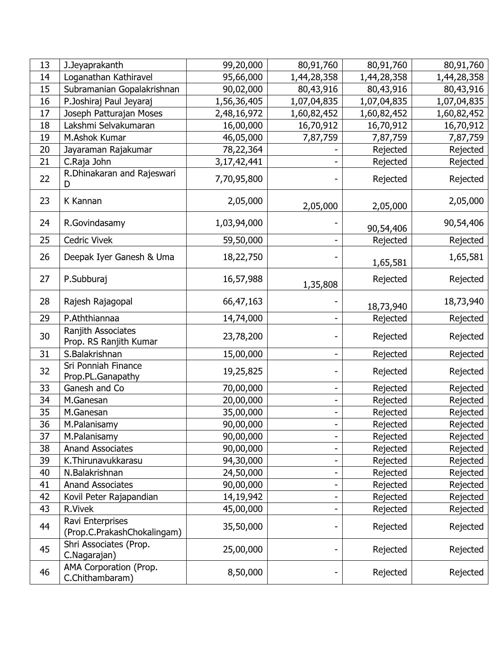| 13 | J.Jeyaprakanth                                  | 99,20,000      | 80,91,760                | 80,91,760   | 80,91,760   |
|----|-------------------------------------------------|----------------|--------------------------|-------------|-------------|
| 14 | Loganathan Kathiravel                           | 95,66,000      | 1,44,28,358              | 1,44,28,358 | 1,44,28,358 |
| 15 | Subramanian Gopalakrishnan                      | 90,02,000      | 80,43,916                | 80,43,916   | 80,43,916   |
| 16 | P.Joshiraj Paul Jeyaraj                         | 1,56,36,405    | 1,07,04,835              | 1,07,04,835 | 1,07,04,835 |
| 17 | Joseph Patturajan Moses                         | 2,48,16,972    | 1,60,82,452              | 1,60,82,452 | 1,60,82,452 |
| 18 | Lakshmi Selvakumaran                            | 16,00,000      | 16,70,912                | 16,70,912   | 16,70,912   |
| 19 | M.Ashok Kumar                                   | 46,05,000      | 7,87,759                 | 7,87,759    | 7,87,759    |
| 20 | Jayaraman Rajakumar                             | 78,22,364      |                          | Rejected    | Rejected    |
| 21 | C.Raja John                                     | 3, 17, 42, 441 |                          | Rejected    | Rejected    |
| 22 | R.Dhinakaran and Rajeswari<br>D                 | 7,70,95,800    |                          | Rejected    | Rejected    |
| 23 | K Kannan                                        | 2,05,000       | 2,05,000                 | 2,05,000    | 2,05,000    |
| 24 | R.Govindasamy                                   | 1,03,94,000    |                          | 90,54,406   | 90,54,406   |
| 25 | <b>Cedric Vivek</b>                             | 59,50,000      |                          | Rejected    | Rejected    |
| 26 | Deepak Iyer Ganesh & Uma                        | 18,22,750      |                          | 1,65,581    | 1,65,581    |
| 27 | P.Subburaj                                      | 16,57,988      | 1,35,808                 | Rejected    | Rejected    |
| 28 | Rajesh Rajagopal                                | 66,47,163      |                          | 18,73,940   | 18,73,940   |
| 29 | P.Aththiannaa                                   | 14,74,000      |                          | Rejected    | Rejected    |
| 30 | Ranjith Associates<br>Prop. RS Ranjith Kumar    | 23,78,200      |                          | Rejected    | Rejected    |
| 31 | S.Balakrishnan                                  | 15,00,000      | $\overline{\phantom{0}}$ | Rejected    | Rejected    |
| 32 | Sri Ponniah Finance<br>Prop.PL.Ganapathy        | 19,25,825      |                          | Rejected    | Rejected    |
| 33 | Ganesh and Co                                   | 70,00,000      | $\overline{\phantom{0}}$ | Rejected    | Rejected    |
| 34 | M.Ganesan                                       | 20,00,000      |                          | Rejected    | Rejected    |
| 35 | M.Ganesan                                       | 35,00,000      |                          | Rejected    | Rejected    |
| 36 | M.Palanisamy                                    | 90,00,000      |                          | Rejected    | Rejected    |
| 37 | M.Palanisamy                                    | 90,00,000      |                          | Rejected    | Rejected    |
| 38 | <b>Anand Associates</b>                         | 90,00,000      |                          | Rejected    | Rejected    |
| 39 | K. Thirunavukkarasu                             | 94,30,000      |                          | Rejected    | Rejected    |
| 40 | N.Balakrishnan                                  | 24,50,000      |                          | Rejected    | Rejected    |
| 41 | <b>Anand Associates</b>                         | 90,00,000      |                          | Rejected    | Rejected    |
| 42 | Kovil Peter Rajapandian                         | 14,19,942      | -                        | Rejected    | Rejected    |
| 43 | R.Vivek                                         | 45,00,000      |                          | Rejected    | Rejected    |
| 44 | Ravi Enterprises<br>(Prop.C.PrakashChokalingam) | 35,50,000      |                          | Rejected    | Rejected    |
| 45 | Shri Associates (Prop.<br>C.Nagarajan)          | 25,00,000      |                          | Rejected    | Rejected    |
| 46 | AMA Corporation (Prop.<br>C.Chithambaram)       | 8,50,000       |                          | Rejected    | Rejected    |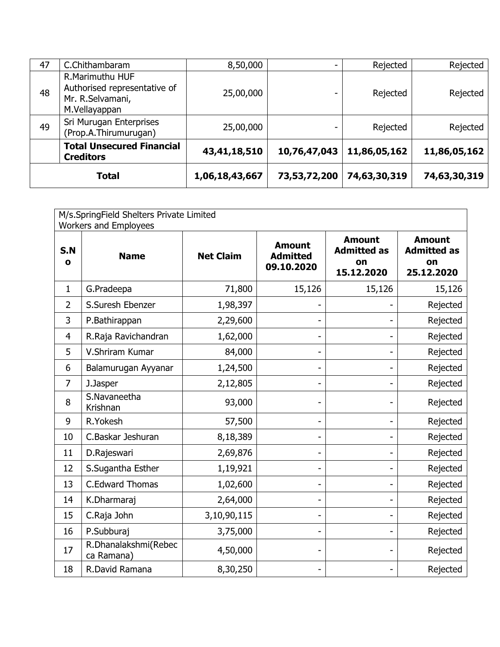| <b>Total</b> |                                                                                      | 1,06,18,43,667 | 73,53,72,200 | 74,63,30,319 | 74,63,30,319 |
|--------------|--------------------------------------------------------------------------------------|----------------|--------------|--------------|--------------|
|              | <b>Total Unsecured Financial</b><br><b>Creditors</b>                                 | 43,41,18,510   | 10,76,47,043 | 11,86,05,162 | 11,86,05,162 |
| 49           | Sri Murugan Enterprises<br>(Prop.A.Thirumurugan)                                     | 25,00,000      |              | Rejected     | Rejected     |
| 48           | R.Marimuthu HUF<br>Authorised representative of<br>Mr. R.Selvamani,<br>M.Vellayappan | 25,00,000      | -            | Rejected     | Rejected     |
| 47           | C.Chithambaram                                                                       | 8,50,000       | -            | Rejected     | Rejected     |

| M/s.SpringField Shelters Private Limited<br><b>Workers and Employees</b> |                                    |                  |                                                |                                                         |                                                         |
|--------------------------------------------------------------------------|------------------------------------|------------------|------------------------------------------------|---------------------------------------------------------|---------------------------------------------------------|
| S.N<br>O                                                                 | <b>Name</b>                        | <b>Net Claim</b> | <b>Amount</b><br><b>Admitted</b><br>09.10.2020 | <b>Amount</b><br><b>Admitted as</b><br>on<br>15.12.2020 | <b>Amount</b><br><b>Admitted as</b><br>on<br>25.12.2020 |
| $\mathbf{1}$                                                             | G.Pradeepa                         | 71,800           | 15,126                                         | 15,126                                                  | 15,126                                                  |
| $\overline{2}$                                                           | S.Suresh Ebenzer                   | 1,98,397         |                                                |                                                         | Rejected                                                |
| 3                                                                        | P.Bathirappan                      | 2,29,600         | -                                              |                                                         | Rejected                                                |
| 4                                                                        | R.Raja Ravichandran                | 1,62,000         |                                                |                                                         | Rejected                                                |
| 5                                                                        | V.Shriram Kumar                    | 84,000           |                                                |                                                         | Rejected                                                |
| 6                                                                        | Balamurugan Ayyanar                | 1,24,500         | -                                              |                                                         | Rejected                                                |
| $\overline{7}$                                                           | J.Jasper                           | 2,12,805         | -                                              |                                                         | Rejected                                                |
| 8                                                                        | S.Navaneetha<br>Krishnan           | 93,000           | -                                              |                                                         | Rejected                                                |
| 9                                                                        | R.Yokesh                           | 57,500           |                                                |                                                         | Rejected                                                |
| 10                                                                       | C.Baskar Jeshuran                  | 8,18,389         | -                                              |                                                         | Rejected                                                |
| 11                                                                       | D.Rajeswari                        | 2,69,876         | -                                              |                                                         | Rejected                                                |
| 12                                                                       | S.Sugantha Esther                  | 1,19,921         | -                                              |                                                         | Rejected                                                |
| 13                                                                       | <b>C.Edward Thomas</b>             | 1,02,600         | -                                              |                                                         | Rejected                                                |
| 14                                                                       | K.Dharmaraj                        | 2,64,000         | -                                              |                                                         | Rejected                                                |
| 15                                                                       | C.Raja John                        | 3,10,90,115      | -                                              |                                                         | Rejected                                                |
| 16                                                                       | P.Subburaj                         | 3,75,000         |                                                |                                                         | Rejected                                                |
| 17                                                                       | R.Dhanalakshmi(Rebec<br>ca Ramana) | 4,50,000         | -                                              |                                                         | Rejected                                                |
| 18                                                                       | R.David Ramana                     | 8,30,250         |                                                |                                                         | Rejected                                                |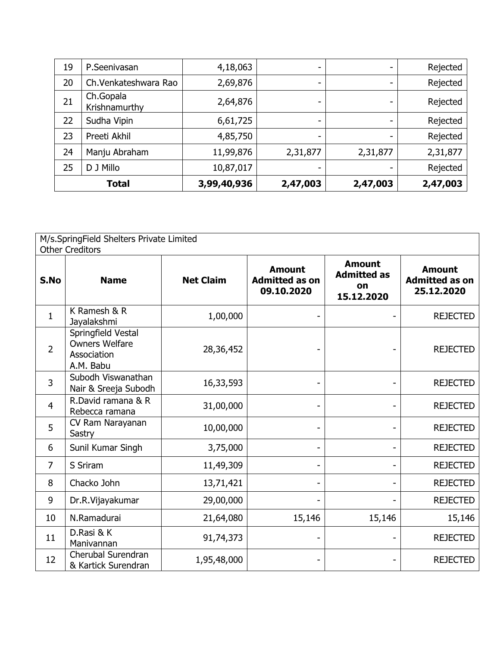| 19           | P.Seenivasan               | 4,18,063    |          |          | Rejected |
|--------------|----------------------------|-------------|----------|----------|----------|
| 20           | Ch.Venkateshwara Rao       | 2,69,876    | ۰.       | ۰        | Rejected |
| 21           | Ch.Gopala<br>Krishnamurthy | 2,64,876    | -        |          | Rejected |
| 22           | Sudha Vipin                | 6,61,725    | -        |          | Rejected |
| 23           | Preeti Akhil               | 4,85,750    | ۰.       | -        | Rejected |
| 24           | Manju Abraham              | 11,99,876   | 2,31,877 | 2,31,877 | 2,31,877 |
| 25           | D J Millo                  | 10,87,017   |          |          | Rejected |
| <b>Total</b> |                            | 3,99,40,936 | 2,47,003 | 2,47,003 | 2,47,003 |

| M/s.SpringField Shelters Private Limited |                                                                         |                  |                                                      |                                                         |                                                      |  |  |
|------------------------------------------|-------------------------------------------------------------------------|------------------|------------------------------------------------------|---------------------------------------------------------|------------------------------------------------------|--|--|
|                                          | <b>Other Creditors</b>                                                  |                  |                                                      |                                                         |                                                      |  |  |
| S.No                                     | <b>Name</b>                                                             | <b>Net Claim</b> | <b>Amount</b><br><b>Admitted as on</b><br>09.10.2020 | <b>Amount</b><br><b>Admitted as</b><br>on<br>15.12.2020 | <b>Amount</b><br><b>Admitted as on</b><br>25.12.2020 |  |  |
| $\mathbf{1}$                             | K Ramesh & R<br>Jayalakshmi                                             | 1,00,000         |                                                      |                                                         | <b>REJECTED</b>                                      |  |  |
| $\overline{2}$                           | Springfield Vestal<br><b>Owners Welfare</b><br>Association<br>A.M. Babu | 28,36,452        |                                                      |                                                         | <b>REJECTED</b>                                      |  |  |
| 3                                        | Subodh Viswanathan<br>Nair & Sreeja Subodh                              | 16,33,593        |                                                      |                                                         | <b>REJECTED</b>                                      |  |  |
| $\overline{4}$                           | R.David ramana & R<br>Rebecca ramana                                    | 31,00,000        |                                                      |                                                         | <b>REJECTED</b>                                      |  |  |
| 5                                        | CV Ram Narayanan<br>Sastry                                              | 10,00,000        |                                                      |                                                         | <b>REJECTED</b>                                      |  |  |
| 6                                        | Sunil Kumar Singh                                                       | 3,75,000         |                                                      |                                                         | <b>REJECTED</b>                                      |  |  |
| $\overline{7}$                           | S Sriram                                                                | 11,49,309        |                                                      | $\overline{\phantom{a}}$                                | <b>REJECTED</b>                                      |  |  |
| 8                                        | Chacko John                                                             | 13,71,421        |                                                      | $\overline{\phantom{a}}$                                | <b>REJECTED</b>                                      |  |  |
| 9                                        | Dr.R.Vijayakumar                                                        | 29,00,000        |                                                      | $\blacksquare$                                          | <b>REJECTED</b>                                      |  |  |
| 10                                       | N.Ramadurai                                                             | 21,64,080        | 15,146                                               | 15,146                                                  | 15,146                                               |  |  |
| 11                                       | D.Rasi & K<br>Manivannan                                                | 91,74,373        |                                                      |                                                         | <b>REJECTED</b>                                      |  |  |
| 12                                       | Cherubal Surendran<br>& Kartick Surendran                               | 1,95,48,000      |                                                      |                                                         | <b>REJECTED</b>                                      |  |  |